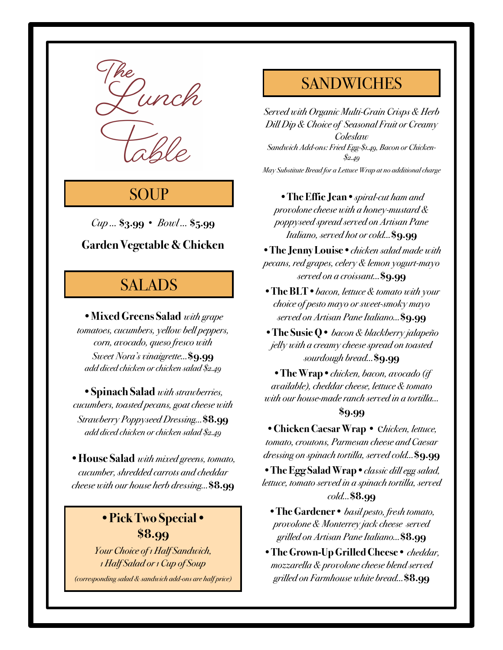

# **SOUP**

*Cup …* **\$3.99** *• Bowl …* **\$5.99**

### **Garden Vegetable & Chicken**

# SALADS

•**Mixed Greens Salad** *with grape tomatoes, cucumbers, yellow bell peppers, corn, avocado, queso fresco with Sweet Nora's vinaigrette…***\$9.99** *add diced chicken or chicken salad \$2.49*

•**Spinach Salad** *with strawberries, cucumbers, toasted pecans, goat cheese with Strawberry Poppyseed Dressing…***\$8.99** *add diced chicken or chicken salad \$2.49*

•**House Salad** *with mixed greens, tomato, cucumber, shredded carrots and cheddar cheese with our house herb dressing…***\$8.99**

### **•Pick Two Special• \$8.99**

*Your Choice of 1 Half Sandwich, 1 Half Salad or 1 Cup of Soup*

*(corresponding salad & sandwich add-ons are half price)*

## **SANDWICHES**

*Served with Organic Multi-Grain Crisps & Herb Dill Dip & Choice of Seasonal Fruit or Creamy Coleslaw Sandwich Add-ons: Fried Egg-\$1.49, Bacon or Chicken- \$2.49 May Substitute Bread for a Lettuce Wrap at no additional charge*

**•The Effie Jean•***spiral-cut ham and provolone cheese with a honey-mustard & poppyseed spread served on Artisan Pane Italiano, served hot or cold…***\$9.99**

**•The Jenny Louise•***chicken salad made with pecans, red grapes, celery & lemon yogurt-mayo served on a croissant…***\$9.99**

**•The BLT•***bacon, lettuce & tomato with your choice of pesto mayo or sweet-smoky mayo served on Artisan Pane Italiano…***\$9.99**

**•The Susie Q•** *bacon & blackberry jalapeño jelly with a creamy cheese spread on toasted sourdough bread…***\$9.99**

**•The Wrap•***chicken, bacon, avocado (if available), cheddar cheese, lettuce & tomato with our house-made ranch served in a tortilla…*

### **\$9.99**

**•Chicken Caesar Wrap •** c*hicken, lettuce, tomato, croutons, Parmesan cheese and Caesar dressing on spinach tortilla, served cold…***\$9.99**

**•The Egg Salad Wrap•***classic dill egg salad, lettuce, tomato served in a spinach tortilla, served cold…***\$8.99**

**•The Gardener•** *basil pesto, fresh tomato, provolone & Monterrey jack cheese served grilled on Artisan Pane Italiano…***\$8.99**

**•The Grown-Up Grilled Cheese•** *cheddar, mozzarella & provolone cheese blend served grilled on Farmhouse white bread…***\$8.99**